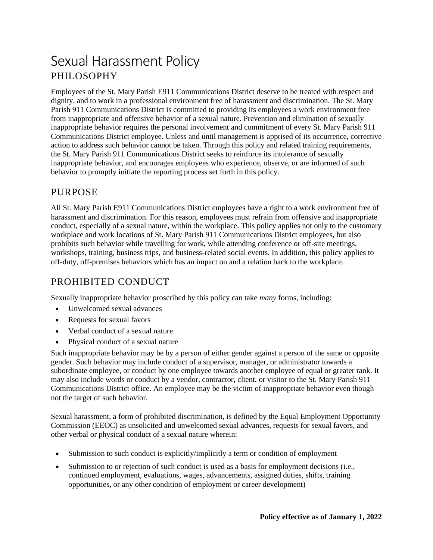# Sexual Harassment Policy PHILOSOPHY

Employees of the St. Mary Parish E911 Communications District deserve to be treated with respect and dignity, and to work in a professional environment free of harassment and discrimination. The St. Mary Parish 911 Communications District is committed to providing its employees a work environment free from inappropriate and offensive behavior of a sexual nature. Prevention and elimination of sexually inappropriate behavior requires the personal involvement and commitment of every St. Mary Parish 911 Communications District employee. Unless and until management is apprised of its occurrence, corrective action to address such behavior cannot be taken. Through this policy and related training requirements, the St. Mary Parish 911 Communications District seeks to reinforce its intolerance of sexually inappropriate behavior, and encourages employees who experience, observe, or are informed of such behavior to promptly initiate the reporting process set forth in this policy.

### PURPOSE

All St. Mary Parish E911 Communications District employees have a right to a work environment free of harassment and discrimination. For this reason, employees must refrain from offensive and inappropriate conduct, especially of a sexual nature, within the workplace. This policy applies not only to the customary workplace and work locations of St. Mary Parish 911 Communications District employees, but also prohibits such behavior while travelling for work, while attending conference or off-site meetings, workshops, training, business trips, and business-related social events. In addition, this policy applies to off-duty, off-premises behaviors which has an impact on and a relation back to the workplace.

## PROHIBITED CONDUCT

Sexually inappropriate behavior proscribed by this policy can take *many* forms, including:

- Unwelcomed sexual advances
- Requests for sexual favors
- Verbal conduct of a sexual nature
- Physical conduct of a sexual nature

Such inappropriate behavior may be by a person of either gender against a person of the same or opposite gender. Such behavior may include conduct of a supervisor, manager, or administrator towards a subordinate employee, or conduct by one employee towards another employee of equal or greater rank. It may also include words or conduct by a vendor, contractor, client, or visitor to the St. Mary Parish 911 Communications District office. An employee may be the victim of inappropriate behavior even though not the target of such behavior.

Sexual harassment, a form of prohibited discrimination, is defined by the Equal Employment Opportunity Commission (EEOC) as unsolicited and unwelcomed sexual advances, requests for sexual favors, and other verbal or physical conduct of a sexual nature wherein:

- Submission to such conduct is explicitly/implicitly a term or condition of employment
- Submission to or rejection of such conduct is used as a basis for employment decisions (i.e., continued employment, evaluations, wages, advancements, assigned duties, shifts, training opportunities, or any other condition of employment or career development)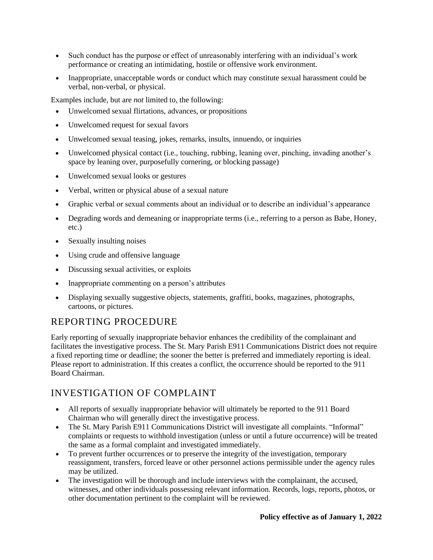- Such conduct has the purpose or effect of unreasonably interfering with an individual's work performance or creating an intimidating, hostile or offensive work environment.
- Inappropriate, unacceptable words or conduct which may constitute sexual harassment could be verbal, non-verbal, or physical.

Examples include, but are *not* limited to, the following:

- Unwelcomed sexual flirtations, advances, or propositions
- Unwelcomed request for sexual favors
- Unwelcomed sexual teasing, jokes, remarks, insults, innuendo, or inquiries
- Unwelcomed physical contact (i.e., touching, rubbing, leaning over, pinching, invading another's space by leaning over, purposefully cornering, or blocking passage)
- Unwelcomed sexual looks or gestures
- Verbal, written or physical abuse of a sexual nature
- Graphic verbal or sexual comments about an individual or to describe an individual's appearance
- Degrading words and demeaning or inappropriate terms (i.e., referring to a person as Babe, Honey, etc.)
- Sexually insulting noises
- Using crude and offensive language
- Discussing sexual activities, or exploits
- Inappropriate commenting on a person's attributes
- Displaying sexually suggestive objects, statements, graffiti, books, magazines, photographs, cartoons, or pictures.

# REPORTING PROCEDURE

Early reporting of sexually inappropriate behavior enhances the credibility of the complainant and facilitates the investigative process. The St. Mary Parish E911 Communications District does not require a fixed reporting time or deadline; the sooner the better is preferred and immediately reporting is ideal. Please report to administration. If this creates a conflict, the occurrence should be reported to the 911 Board Chairman.

# INVESTIGATION OF COMPLAINT

- All reports of sexually inappropriate behavior will ultimately be reported to the 911 Board Chairman who will generally direct the investigative process.
- The St. Mary Parish E911 Communications District will investigate all complaints. "Informal" complaints or requests to withhold investigation (unless or until a future occurrence) will be treated the same as a formal complaint and investigated immediately.
- To prevent further occurrences or to preserve the integrity of the investigation, temporary reassignment, transfers, forced leave or other personnel actions permissible under the agency rules may be utilized.
- The investigation will be thorough and include interviews with the complainant, the accused, witnesses, and other individuals possessing relevant information. Records, logs, reports, photos, or other documentation pertinent to the complaint will be reviewed.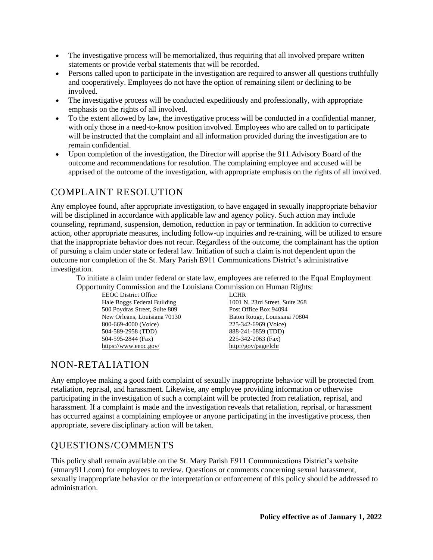- The investigative process will be memorialized, thus requiring that all involved prepare written statements or provide verbal statements that will be recorded.
- Persons called upon to participate in the investigation are required to answer all questions truthfully and cooperatively. Employees do not have the option of remaining silent or declining to be involved.
- The investigative process will be conducted expeditiously and professionally, with appropriate emphasis on the rights of all involved.
- To the extent allowed by law, the investigative process will be conducted in a confidential manner, with only those in a need-to-know position involved. Employees who are called on to participate will be instructed that the complaint and all information provided during the investigation are to remain confidential.
- Upon completion of the investigation, the Director will apprise the 911 Advisory Board of the outcome and recommendations for resolution. The complaining employee and accused will be apprised of the outcome of the investigation, with appropriate emphasis on the rights of all involved.

# COMPLAINT RESOLUTION

Any employee found, after appropriate investigation, to have engaged in sexually inappropriate behavior will be disciplined in accordance with applicable law and agency policy. Such action may include counseling, reprimand, suspension, demotion, reduction in pay or termination. In addition to corrective action, other appropriate measures, including follow-up inquiries and re-training, will be utilized to ensure that the inappropriate behavior does not recur. Regardless of the outcome, the complainant has the option of pursuing a claim under state or federal law. Initiation of such a claim is not dependent upon the outcome nor completion of the St. Mary Parish E911 Communications District's administrative investigation.

To initiate a claim under federal or state law, employees are referred to the Equal Employment Opportunity Commission and the Louisiana Commission on Human Rights:

EEOC District Office LCHR 500 Poydras Street, Suite 809 Post Office Box 94094 800-669-4000 (Voice) 225-342-6969 (Voice) 504-589-2958 (TDD) 888-241-0859 (TDD) 504-595-2844 (Fax) 225-342-2063 (Fax) <https://www.eeoc.gov/> <http://gov/page/lchr>

Hale Boggs Federal Building 1001 N. 23rd Street, Suite 268 New Orleans, Louisiana 70130 Baton Rouge, Louisiana 70804

# NON-RETALIATION

Any employee making a good faith complaint of sexually inappropriate behavior will be protected from retaliation, reprisal, and harassment. Likewise, any employee providing information or otherwise participating in the investigation of such a complaint will be protected from retaliation, reprisal, and harassment. If a complaint is made and the investigation reveals that retaliation, reprisal, or harassment has occurred against a complaining employee or anyone participating in the investigative process, then appropriate, severe disciplinary action will be taken.

# QUESTIONS/COMMENTS

This policy shall remain available on the St. Mary Parish E911 Communications District's website (stmary911.com) for employees to review. Questions or comments concerning sexual harassment, sexually inappropriate behavior or the interpretation or enforcement of this policy should be addressed to administration.